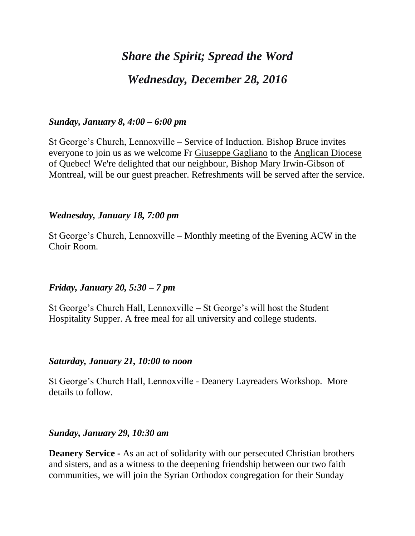# *Share the Spirit; Spread the Word Wednesday, December 28, 2016*

## *Sunday, January 8, 4:00 – 6:00 pm*

St George's Church, Lennoxville – Service of Induction. Bishop Bruce invites everyone to join us as we welcome Fr [Giuseppe Gagliano](https://webmail.ubishops.ca/owa/redir.aspx?REF=222C36e6SiKO4qDh1cYCbnU8RQOHP0qds_D64QHefNv-Q4Syxi7UCAFodHRwczovL3d3dy5mYWNlYm9vay5jb20vZ2l1c2VwcGUuZ2FnbGlhbm8uMzE1) to the [Anglican Diocese](https://webmail.ubishops.ca/owa/redir.aspx?REF=njtJxeaiHaMzzVx3LIEEPM0Qmlqa812mfUb6o6SRqRr-Q4Syxi7UCAFodHRwczovL3d3dy5mYWNlYm9vay5jb20vQW5nbGljYW4tRGlvY2VzZS1vZi1RdWViZWMtMTc0NDg2ODM0OTYyLw..)  [of Quebec!](https://webmail.ubishops.ca/owa/redir.aspx?REF=njtJxeaiHaMzzVx3LIEEPM0Qmlqa812mfUb6o6SRqRr-Q4Syxi7UCAFodHRwczovL3d3dy5mYWNlYm9vay5jb20vQW5nbGljYW4tRGlvY2VzZS1vZi1RdWViZWMtMTc0NDg2ODM0OTYyLw..) We're delighted that our neighbour, Bishop [Mary Irwin-Gibson](https://webmail.ubishops.ca/owa/redir.aspx?REF=fx7PHu4qFTgtcousMFtAeFtiEBBx8z-dkRPVkCLhHC3-Q4Syxi7UCAFodHRwczovL3d3dy5mYWNlYm9vay5jb20vbWFyeS5pcndpbmdpYnNvbg..) of Montreal, will be our guest preacher. Refreshments will be served after the service.

### *Wednesday, January 18, 7:00 pm*

St George's Church, Lennoxville – Monthly meeting of the Evening ACW in the Choir Room.

## *Friday, January 20, 5:30 – 7 pm*

St George's Church Hall, Lennoxville – St George's will host the Student Hospitality Supper. A free meal for all university and college students.

### *Saturday, January 21, 10:00 to noon*

St George's Church Hall, Lennoxville - Deanery Layreaders Workshop. More details to follow.

### *Sunday, January 29, 10:30 am*

**Deanery Service -** As an act of solidarity with our persecuted Christian brothers and sisters, and as a witness to the deepening friendship between our two faith communities, we will join the Syrian Orthodox congregation for their Sunday